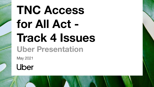# **TNC Access for All Act - Track 4 Issues Uber Presentation**

May 2021

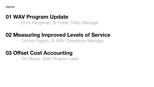Agenda

#### **01 WAV Program Update**

- Chris Pangilinan, Sr Public Policy Manager

## **02 Measuring Improved Levels of Service**

- Connor Fagent, Sr WAV Operations Manager

## **03 Offset Cost Accounting**

- Tim Myers, WAV Program Lead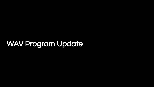# WAV Program Update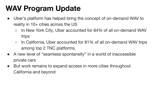# **WAV Program Update**

- Uber's platform has helped bring the concept of on-demand WAV to reality in 10+ cities across the US
	- In New York City, Uber accounted for 84% of all on-demand WAV trips
	- In California, Uber accounted for 81% of all on-demand WAV trips among top 2 TNC platforms.
- A new level of "seamless spontaneity" in a world of inaccessible private cars
- But work remains to expand access in more cities throughout California and beyond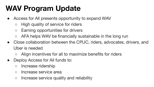# **WAV Program Update**

- Access for All presents opportunity to expand WAV
	- High quality of service for riders
	- Earning opportunities for drivers
	- AFA helps WAV be financially sustainable in the long run
- Close collaboration between the CPUC, riders, advocates, drivers, and Uber is needed
	- Align incentives for all to maximize benefits for riders
- Deploy Access for All funds to:
	- Increase ridership
	- Increase service area
	- Increase service quality and reliability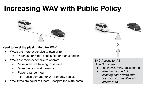## **Increasing WAV with Public Policy**



#### **Need to level the playing field for WAV**

- WAVs are more expensive to own or rent
	- Purchase or rental cost is higher than a sedan
- WAVs are more expensive to operate
	- More intensive training for drivers
	- More fuel and maintenance
	- Fewer trips per hour
		- Less demand for WAV priority vehicle
- WAV *fares* are equal to UberX despite the extra costs



#### TNC Access for All Uber Subsidies

- Incentivize WAV on-demand
- *● Need to be mindful of keeping non-private auto transport competitive with private auto*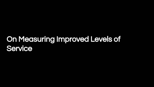# On Measuring Improved Levels of **Service**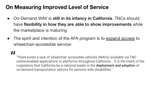## **On Measuring Improved Level of Service**

- On-Demand WAV is **still in its infancy in California**. TNCs should have **flexibility in how they are able to show improvements** while the marketplace is maturing.
- The spirit and intention of the AFA program is to expand access to wheelchair-accessible service:

# **"**

"There exists a lack of wheelchair accessible vehicles (WAVs) available via TNC online-enabled applications or platforms throughout California....It is the intent of the Legislature that California be a national leader in the **deployment and adoption** of on-demand transportation options for persons with disabilities."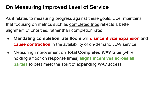## **On Measuring Improved Level of Service**

As it relates to measuring progress against these goals, Uber maintains that focusing on metrics such as **completed trips** reflects a better alignment of priorities, rather than completion rate:

- **Mandating completion rate floors** will **disincentivize expansion** and **cause contraction** in the availability of on-demand WAV service.
- Measuring improvement on **Total Completed WAV trips** (while holding a floor on response times) **aligns incentives across all parties** to best meet the spirit of expanding WAV access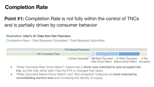## **Completion Rate**

#### **Point #1:** Completion Rate is not fully within the control of TNCs and is partially driven by consumer behavior

#### **Illustration:** Uber's Q1 Data from San Francisco

*Completion Rate = Total Requests Completed / Total Requests Submitted*



- "Rider Canceled After Driver Match" means that a **driver was matched to and accepted the trip**, but the rider either didn't like the ETA or changed their plans
- "Rider Canceled Before Driver Match" and "Not Accepted" instances are **best reduced by consolidating service area** and increasing the density of supply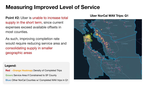## **Measuring Improved Level of Service**

**Point #2:** Uber is unable to increase total supply in the short term, since current expenses exceed available offsets in most counties.

As such, improving completion rate would require reducing service area and consolidating supply in smaller geographic areas

#### **Legend:**

**Red →Orange Heatmap:** Density of Completed Trips **Green:** Service Area if Constrained to SF County **Blue:** Other NorCal Counties w/ Completed WAV trips in Q1

#### **Uber NorCal WAV Trips: Q1**

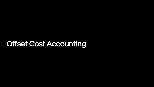# Offset Cost Accounting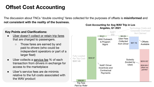## **Offset Cost Accounting**

The discussion about TNCs "double counting" fares collected for the purposes of offsets is **misinformed** and **not consistent with the reality of the business.**

#### **Key Points and Clarifications:**

- Uber doesn't collect or retain trip fares that are charged to passengers.
	- Those fares are earned by and paid to *drivers* (who could be independent operators or part of a larger fleet)
- Uber collects a service fee % of each transaction from drivers in exchange for access to the marketplace
- Uber's service fees are de minimis relative to the full costs associated with the WAV product